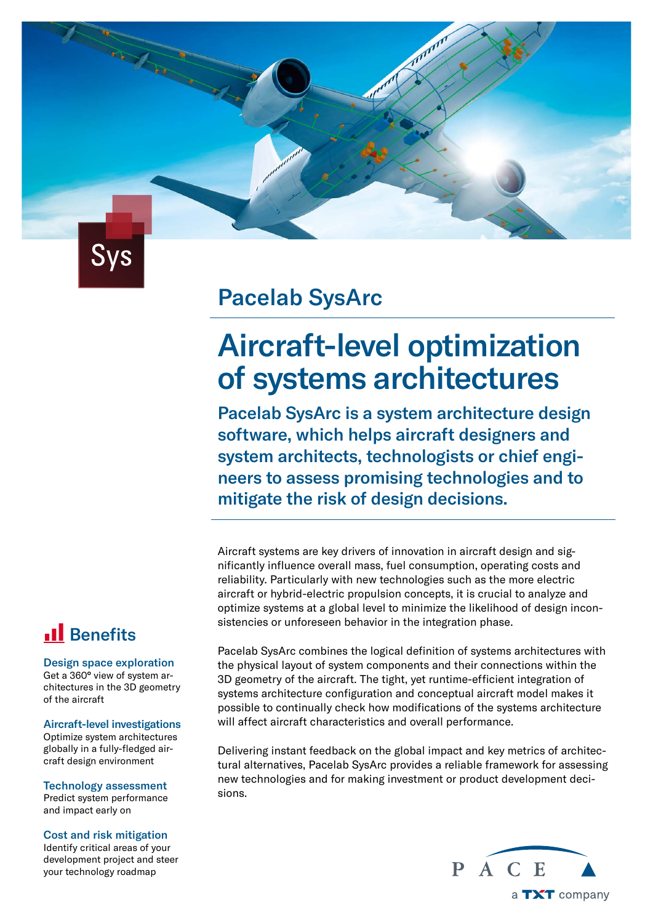

Contractor of the Card

### Pacelab SysArc

# Aircraft-level optimization of systems architectures

Pacelab SysArc is a system architecture design software, which helps aircraft designers and system architects, technologists or chief engineers to assess promising technologies and to mitigate the risk of design decisions.

Aircraft systems are key drivers of innovation in aircraft design and significantly influence overall mass, fuel consumption, operating costs and reliability. Particularly with new technologies such as the more electric aircraft or hybrid-electric propulsion concepts, it is crucial to analyze and optimize systems at a global level to minimize the likelihood of design inconsistencies or unforeseen behavior in the integration phase.

### **Il** Benefits

#### Design space exploration

Get a 360° view of system architectures in the 3D geometry of the aircraft

Aircraft-level investigations Optimize system architectures globally in a fully-fledged air-

Technology assessment Predict system performance and impact early on

craft design environment

#### Cost and risk mitigation

Identify critical areas of your development project and steer your technology roadmap

Pacelab SysArc combines the logical definition of systems architectures with the physical layout of system components and their connections within the 3D geometry of the aircraft. The tight, yet runtime-efficient integration of systems architecture configuration and conceptual aircraft model makes it possible to continually check how modifications of the systems architecture will affect aircraft characteristics and overall performance.

Delivering instant feedback on the global impact and key metrics of architectural alternatives, Pacelab SysArc provides a reliable framework for assessing new technologies and for making investment or product development decisions.